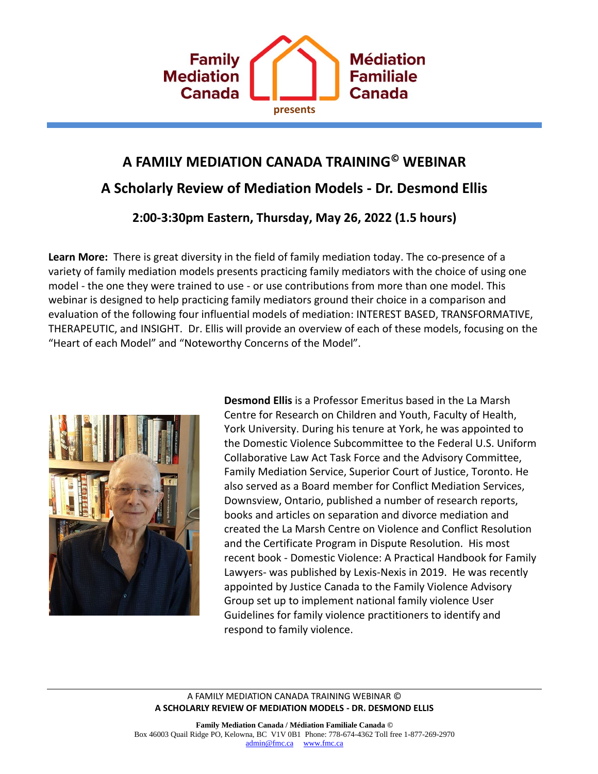

# **A FAMILY MEDIATION CANADA TRAINING© WEBINAR A Scholarly Review of Mediation Models - Dr. Desmond Ellis**

**2:00-3:30pm Eastern, Thursday, May 26, 2022 (1.5 hours)**

**Learn More:** There is great diversity in the field of family mediation today. The co-presence of a variety of family mediation models presents practicing family mediators with the choice of using one model - the one they were trained to use - or use contributions from more than one model. This webinar is designed to help practicing family mediators ground their choice in a comparison and evaluation of the following four influential models of mediation: INTEREST BASED, TRANSFORMATIVE, THERAPEUTIC, and INSIGHT. Dr. Ellis will provide an overview of each of these models, focusing on the "Heart of each Model" and "Noteworthy Concerns of the Model".



**Desmond Ellis** is a Professor Emeritus based in the La Marsh Centre for Research on Children and Youth, Faculty of Health, York University. During his tenure at York, he was appointed to the Domestic Violence Subcommittee to the Federal U.S. Uniform Collaborative Law Act Task Force and the Advisory Committee, Family Mediation Service, Superior Court of Justice, Toronto. He also served as a Board member for Conflict Mediation Services, Downsview, Ontario, published a number of research reports, books and articles on separation and divorce mediation and created the La Marsh Centre on Violence and Conflict Resolution and the Certificate Program in Dispute Resolution. His most recent book - Domestic Violence: A Practical Handbook for Family Lawyers- was published by Lexis-Nexis in 2019. He was recently appointed by Justice Canada to the Family Violence Advisory Group set up to implement national family violence User Guidelines for family violence practitioners to identify and respond to family violence.

#### A FAMILY MEDIATION CANADA TRAINING WEBINAR © **A SCHOLARLY REVIEW OF MEDIATION MODELS - DR. DESMOND ELLIS**

**Family Mediation Canada / Médiation Familiale Canada ©** Box 46003 Quail Ridge PO, Kelowna, BC V1V 0B1 Phone: 778-674-4362 Toll free 1-877-269-2970 [admin@fmc.ca](mailto:admin@fmc.ca) [www.fmc.ca](http://www.fmc.ca/)